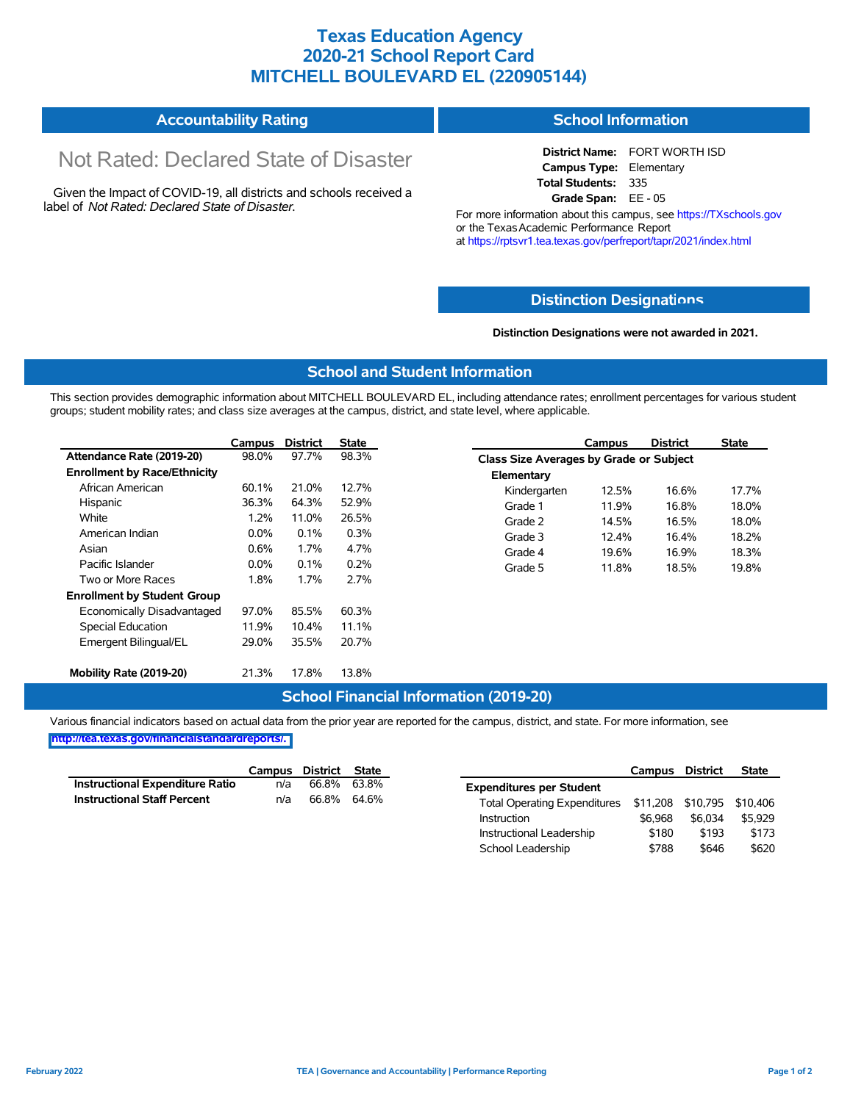## **Texas Education Agency 2020-21 School Report Card MITCHELL BOULEVARD EL (220905144)**

#### **Accountability Rating School Information**

# Not Rated: Declared State of Disaster

Given the Impact of COVID-19, all districts and schools received a label of *Not Rated: Declared State of Disaster.*

**District Name:** FORT WORTH ISD **Campus Type:** Elementary **Total Students:** 335 **Grade Span:** EE - 05

For more information about this campus, see https://TXschools.gov or the Texas Academic Performance Report at https://rptsvr1.tea.texas.gov/perfreport/tapr/2021/index.html

#### **Distinction Designat[ions](https://TXschools.gov)**

**Distinction Designations were not awarded in 2021.**

Instructional Leadership  $$180$  \$193 \$173 School Leadership  $$788$  \$646 \$620

#### **School and Student Information**

This section provides demographic information about MITCHELL BOULEVARD EL, including attendance rates; enrollment percentages for various student groups; student mobility rates; and class size averages at the campus, district, and state level, where applicable.

|                                     | Campus  | <b>District</b> | <b>State</b> |              | Campus                                  | <b>District</b> | <b>State</b> |  |  |
|-------------------------------------|---------|-----------------|--------------|--------------|-----------------------------------------|-----------------|--------------|--|--|
| Attendance Rate (2019-20)           | 98.0%   | 97.7%           | 98.3%        |              | Class Size Averages by Grade or Subject |                 |              |  |  |
| <b>Enrollment by Race/Ethnicity</b> |         |                 |              | Elementary   |                                         |                 |              |  |  |
| African American                    | 60.1%   | 21.0%           | 12.7%        | Kindergarten | 12.5%                                   | 16.6%           | 17.7%        |  |  |
| Hispanic                            | 36.3%   | 64.3%           | 52.9%        | Grade 1      | 11.9%                                   | 16.8%           | 18.0%        |  |  |
| White                               | 1.2%    | 11.0%           | 26.5%        | Grade 2      | 14.5%                                   | 16.5%           | 18.0%        |  |  |
| American Indian                     | $0.0\%$ | 0.1%            | 0.3%         | Grade 3      | 12.4%                                   | 16.4%           | 18.2%        |  |  |
| Asian                               | 0.6%    | 1.7%            | 4.7%         | Grade 4      | 19.6%                                   | 16.9%           | 18.3%        |  |  |
| Pacific Islander                    | $0.0\%$ | 0.1%            | 0.2%         | Grade 5      | 11.8%                                   | 18.5%           | 19.8%        |  |  |
| Two or More Races                   | 1.8%    | 1.7%            | 2.7%         |              |                                         |                 |              |  |  |
| <b>Enrollment by Student Group</b>  |         |                 |              |              |                                         |                 |              |  |  |
| Economically Disadvantaged          | 97.0%   | 85.5%           | 60.3%        |              |                                         |                 |              |  |  |
| Special Education                   | 11.9%   | 10.4%           | 11.1%        |              |                                         |                 |              |  |  |
| Emergent Bilingual/EL               | 29.0%   | 35.5%           | 20.7%        |              |                                         |                 |              |  |  |
|                                     |         |                 |              |              |                                         |                 |              |  |  |
| Mobility Rate (2019-20)             | 21.3%   | 17.8%           | 13.8%        |              |                                         |                 |              |  |  |

#### **School Financial Information (2019-20)**

Various financial indicators based on actual data from the prior year are reported for the campus, district, and state. For more information, see

**[http://tea.texas.gov/financialstandardreports/.](http://tea.texas.gov/financialstandardreports/)**

|                                    | Campus | District | State       |                                                         | Campus  | <b>District</b> | <b>State</b> |
|------------------------------------|--------|----------|-------------|---------------------------------------------------------|---------|-----------------|--------------|
| Instructional Expenditure Ratio    | n/a    | 66.8%    | 63.8%       | <b>Expenditures per Student</b>                         |         |                 |              |
| <b>Instructional Staff Percent</b> | n/a    |          | 66.8% 64.6% | Total Operating Expenditures \$11,208 \$10,795 \$10,406 |         |                 |              |
|                                    |        |          |             | Instruction                                             | \$6.968 | \$6.034         | \$5.929      |